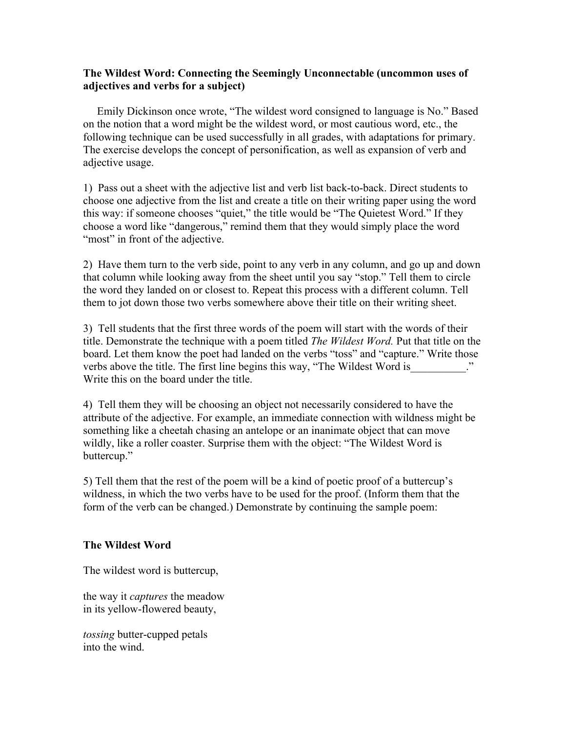## **The Wildest Word: Connecting the Seemingly Unconnectable (uncommon uses of adjectives and verbs for a subject)**

 Emily Dickinson once wrote, "The wildest word consigned to language is No." Based on the notion that a word might be the wildest word, or most cautious word, etc., the following technique can be used successfully in all grades, with adaptations for primary. The exercise develops the concept of personification, as well as expansion of verb and adjective usage.

1) Pass out a sheet with the adjective list and verb list back-to-back. Direct students to choose one adjective from the list and create a title on their writing paper using the word this way: if someone chooses "quiet," the title would be "The Quietest Word." If they choose a word like "dangerous," remind them that they would simply place the word "most" in front of the adjective.

2) Have them turn to the verb side, point to any verb in any column, and go up and down that column while looking away from the sheet until you say "stop." Tell them to circle the word they landed on or closest to. Repeat this process with a different column. Tell them to jot down those two verbs somewhere above their title on their writing sheet.

3) Tell students that the first three words of the poem will start with the words of their title. Demonstrate the technique with a poem titled *The Wildest Word.* Put that title on the board. Let them know the poet had landed on the verbs "toss" and "capture." Write those verbs above the title. The first line begins this way, "The Wildest Word is Write this on the board under the title.

4) Tell them they will be choosing an object not necessarily considered to have the attribute of the adjective. For example, an immediate connection with wildness might be something like a cheetah chasing an antelope or an inanimate object that can move wildly, like a roller coaster. Surprise them with the object: "The Wildest Word is buttercup."

5) Tell them that the rest of the poem will be a kind of poetic proof of a buttercup's wildness, in which the two verbs have to be used for the proof. (Inform them that the form of the verb can be changed.) Demonstrate by continuing the sample poem:

## **The Wildest Word**

The wildest word is buttercup,

the way it *captures* the meadow in its yellow-flowered beauty,

*tossing* butter-cupped petals into the wind.